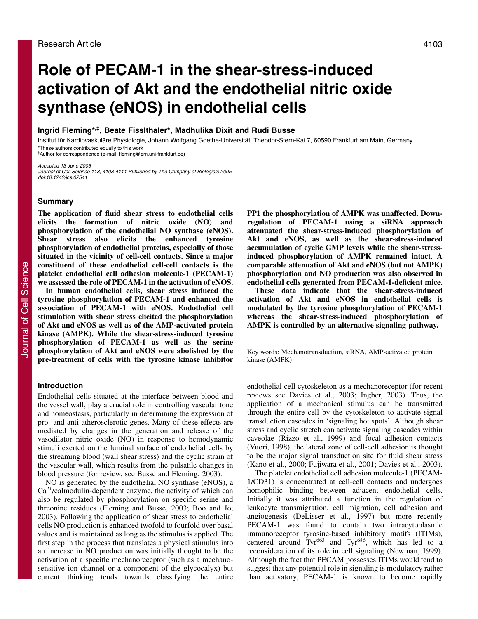# **Role of PECAM-1 in the shear-stress-induced activation of Akt and the endothelial nitric oxide synthase (eNOS) in endothelial cells**

# **Ingrid Fleming\*,‡, Beate Fisslthaler\*, Madhulika Dixit and Rudi Busse**

Institut für Kardiovaskuläre Physiologie, Johann Wolfgang Goethe-Universität, Theodor-Stern-Kai 7, 60590 Frankfurt am Main, Germany \*These authors contributed equally to this work

‡Author for correspondence (e-mail: fleming@em.uni-frankfurt.de)

Accepted 13 June 2005 Journal of Cell Science 118, 4103-4111 Published by The Company of Biologists 2005 doi:10.1242/jcs.02541

# **Summary**

**The application of fluid shear stress to endothelial cells elicits the formation of nitric oxide (NO) and phosphorylation of the endothelial NO synthase (eNOS). Shear stress also elicits the enhanced tyrosine phosphorylation of endothelial proteins, especially of those situated in the vicinity of cell-cell contacts. Since a major constituent of these endothelial cell-cell contacts is the platelet endothelial cell adhesion molecule-1 (PECAM-1) we assessed the role of PECAM-1 in the activation of eNOS.**

**In human endothelial cells, shear stress induced the tyrosine phosphorylation of PECAM-1 and enhanced the association of PECAM-1 with eNOS. Endothelial cell stimulation with shear stress elicited the phosphorylation of Akt and eNOS as well as of the AMP-activated protein kinase (AMPK). While the shear-stress-induced tyrosine phosphorylation of PECAM-1 as well as the serine phosphorylation of Akt and eNOS were abolished by the pre-treatment of cells with the tyrosine kinase inhibitor**

# **Introduction**

Endothelial cells situated at the interface between blood and the vessel wall, play a crucial role in controlling vascular tone and homeostasis, particularly in determining the expression of pro- and anti-atherosclerotic genes. Many of these effects are mediated by changes in the generation and release of the vasodilator nitric oxide (NO) in response to hemodynamic stimuli exerted on the luminal surface of endothelial cells by the streaming blood (wall shear stress) and the cyclic strain of the vascular wall, which results from the pulsatile changes in blood pressure (for review, see Busse and Fleming, 2003).

NO is generated by the endothelial NO synthase (eNOS), a  $Ca<sup>2+</sup>/calmodulin-dependent enzyme, the activity of which can$ also be regulated by phosphorylation on specific serine and threonine residues (Fleming and Busse, 2003; Boo and Jo, 2003). Following the application of shear stress to endothelial cells NO production is enhanced twofold to fourfold over basal values and is maintained as long as the stimulus is applied. The first step in the process that translates a physical stimulus into an increase in NO production was initially thought to be the activation of a specific mechanoreceptor (such as a mechanosensitive ion channel or a component of the glycocalyx) but current thinking tends towards classifying the entire

**PP1 the phosphorylation of AMPK was unaffected. Downregulation of PECAM-1 using a siRNA approach attenuated the shear-stress-induced phosphorylation of Akt and eNOS, as well as the shear-stress-induced accumulation of cyclic GMP levels while the shear-stressinduced phosphorylation of AMPK remained intact. A comparable attenuation of Akt and eNOS (but not AMPK) phosphorylation and NO production was also observed in endothelial cells generated from PECAM-1-deficient mice.**

**These data indicate that the shear-stress-induced activation of Akt and eNOS in endothelial cells is modulated by the tyrosine phosphorylation of PECAM-1 whereas the shear-stress-induced phosphorylation of AMPK is controlled by an alternative signaling pathway.**

Key words: Mechanotransduction, siRNA, AMP-activated protein kinase (AMPK)

endothelial cell cytoskeleton as a mechanoreceptor (for recent reviews see Davies et al., 2003; Ingber, 2003). Thus, the application of a mechanical stimulus can be transmitted through the entire cell by the cytoskeleton to activate signal transduction cascades in 'signaling hot spots'. Although shear stress and cyclic stretch can activate signaling cascades within caveolae (Rizzo et al., 1999) and focal adhesion contacts (Vuori, 1998), the lateral zone of cell-cell adhesion is thought to be the major signal transduction site for fluid shear stress (Kano et al., 2000; Fujiwara et al., 2001; Davies et al., 2003).

The platelet endothelial cell adhesion molecule-1 (PECAM-1/CD31) is concentrated at cell-cell contacts and undergoes homophilic binding between adjacent endothelial cells. Initially it was attributed a function in the regulation of leukocyte transmigration, cell migration, cell adhesion and angiogenesis (DeLisser et al., 1997) but more recently PECAM-1 was found to contain two intracytoplasmic immunoreceptor tyrosine-based inhibitory motifs (ITIMs), centered around Tyr<sup>663</sup> and Tyr<sup>686</sup>, which has led to a reconsideration of its role in cell signaling (Newman, 1999). Although the fact that PECAM possesses ITIMs would tend to suggest that any potential role in signaling is modulatory rather than activatory, PECAM-1 is known to become rapidly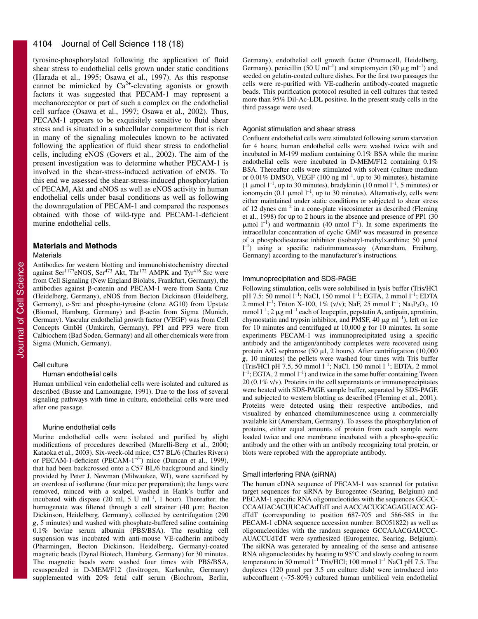#### 4104 Journal of Cell Science 118 (18)

tyrosine-phosphorylated following the application of fluid shear stress to endothelial cells grown under static conditions (Harada et al., 1995; Osawa et al., 1997). As this response cannot be mimicked by  $Ca^{2+}$ -elevating agonists or growth factors it was suggested that PECAM-1 may represent a mechanoreceptor or part of such a complex on the endothelial cell surface (Osawa et al., 1997; Osawa et al., 2002). Thus, PECAM-1 appears to be exquisitely sensitive to fluid shear stress and is situated in a subcellular compartment that is rich in many of the signaling molecules known to be activated following the application of fluid shear stress to endothelial cells, including eNOS (Govers et al., 2002). The aim of the present investigation was to determine whether PECAM-1 is involved in the shear-stress-induced activation of eNOS. To this end we assessed the shear-stress-induced phosphorylation of PECAM, Akt and eNOS as well as eNOS activity in human endothelial cells under basal conditions as well as following the downregulation of PECAM-1 and compared the responses obtained with those of wild-type and PECAM-1-deficient murine endothelial cells.

# **Materials and Methods**

#### **Materials**

Antibodies for western blotting and immunohistochemistry directed against Ser<sup>1177</sup>eNOS, Ser<sup>473</sup> Akt, Thr<sup>172</sup> AMPK and Tyr<sup>416</sup> Src were from Cell Signaling (New England Biolabs, Frankfurt, Germany), the antibodies against ß-catenin and PECAM-1 were from Santa Cruz (Heidelberg, Germany), eNOS from Becton Dickinson (Heidelberg, Germany), c-Src and phospho-tyrosine (clone AG10) from Upstate (Biomol, Hamburg, Germany) and  $\beta$ -actin from Sigma (Munich, Germany). Vascular endothelial growth factor (VEGF) was from Cell Concepts GmbH (Umkirch, Germany), PP1 and PP3 were from Calbiochem (Bad Soden, Germany) and all other chemicals were from Sigma (Munich, Germany).

### Cell culture

#### Human endothelial cells

Human umbilical vein endothelial cells were isolated and cultured as described (Busse and Lamontagne, 1991). Due to the loss of several signaling pathways with time in culture, endothelial cells were used after one passage.

#### Murine endothelial cells

Murine endothelial cells were isolated and purified by slight modifications of procedures described (Marelli-Berg et al., 2000; Kataoka et al., 2003). Six-week-old mice; C57 BL/6 (Charles Rivers) or PECAM-1-deficient (PECAM-1<sup>-/-</sup>) mice (Duncan et al., 1999), that had been backcrossed onto a C57 BL/6 background and kindly provided by Peter J. Newman (Milwaukee, WI), were sacrificed by an overdose of isoflurane (four mice per preparation); the lungs were removed, minced with a scalpel, washed in Hank's buffer and incubated with dispase (20 ml, 5 U ml<sup>-1</sup>, 1 hour). Thereafter, the homogenate was filtered through a cell strainer (40  $\mu$ m; Becton Dickinson, Heidelberg, Germany), collected by centrifugation (290 *g*, 5 minutes) and washed with phosphate-buffered saline containing 0.1% bovine serum albumin (PBS/BSA). The resulting cell suspension was incubated with anti-mouse VE-cadherin antibody (Pharmingen, Becton Dickinson, Heidelberg, Germany)-coated magnetic beads (Dynal Biotech, Hamburg, Germany) for 30 minutes. The magnetic beads were washed four times with PBS/BSA, resuspended in D-MEM/F12 (Invitrogen, Karlsruhe, Germany) supplemented with 20% fetal calf serum (Biochrom, Berlin,

Germany), endothelial cell growth factor (Promocell, Heidelberg, Germany), penicillin (50 U ml<sup>-1</sup>) and streptomycin (50  $\mu$ g ml<sup>-1</sup>) and seeded on gelatin-coated culture dishes. For the first two passages the cells were re-purified with VE-cadherin antibody-coated magnetic beads. This purification protocol resulted in cell cultures that tested more than 95% Dil-Ac-LDL positive. In the present study cells in the third passage were used.

#### Agonist stimulation and shear stress

Confluent endothelial cells were stimulated following serum starvation for 4 hours; human endothelial cells were washed twice with and incubated in M-199 medium containing 0.1% BSA while the murine endothelial cells were incubated in D-MEM/F12 containing 0.1% BSA. Thereafter cells were stimulated with solvent (culture medium or 0.01% DMSO), VEGF (100 ng ml<sup>-1</sup>, up to 30 minutes), histamine (1  $\mu$ mol l<sup>-1</sup>, up to 30 minutes), bradykinin (10 nmol l<sup>-1</sup>, 5 minutes) or ionomycin (0.1  $\mu$ mol l<sup>-1</sup>, up to 30 minutes). Alternatively, cells were either maintained under static conditions or subjected to shear stress of 12 dynes  $\text{cm}^{-2}$  in a cone-plate viscosimeter as described (Fleming et al., 1998) for up to 2 hours in the absence and presence of PP1 (30  $\mu$ mol l<sup>-1</sup>) and wortmannin (40 nmol l<sup>-1</sup>). In some experiments the intracellular concentration of cyclic GMP was measured in presence of a phosphodiesterase inhibitor (isobutyl-methylxanthine;  $\overline{50}$  µmol l –1) using a specific radioimmunoassay (Amersham, Freiburg, Germany) according to the manufacturer's instructions.

#### Immunoprecipitation and SDS-PAGE

Following stimulation, cells were solubilised in lysis buffer (Tris/HCl pH 7.5; 50 mmol  $1^{-1}$ ; NaCl, 150 mmol  $1^{-1}$ ; EGTA, 2 mmol  $1^{-1}$ ; EDTA 2 mmol  $1^{-1}$ ; Triton X-100, 1% (v/v); NaF, 25 mmol  $1^{-1}$ ; Na<sub>4</sub>P<sub>2</sub>O<sub>7</sub>, 10 mmol  $l^{-1}$ ; 2  $\mu$ g ml<sup>-1</sup> each of leupeptin, pepstatin A, antipain, aprotinin, chymostatin and trypsin inhibitor, and PMSF, 40  $\mu$ g ml<sup>-1</sup>), left on ice for 10 minutes and centrifuged at 10,000 *g* for 10 minutes. In some experiments PECAM-1 was immunoprecipitated using a specific antibody and the antigen/antibody complexes were recovered using protein A/G sepharose (50  $\mu$ l, 2 hours). After centrifugation (10,000 *g*, 10 minutes) the pellets were washed four times with Tris buffer (Tris/HCl pH 7.5, 50 mmol  $l^{-1}$ ; NaCl, 150 mmol  $l^{-1}$ ; EDTA, 2 mmol  $1^{-1}$ ; EGTA, 2 mmol  $1^{-1}$ ) and twice in the same buffer containing Tween 20 (0.1% v/v). Proteins in the cell supernatants or immunoprecipitates were heated with SDS-PAGE sample buffer, separated by SDS-PAGE and subjected to western blotting as described (Fleming et al., 2001). Proteins were detected using their respective antibodies, and visualized by enhanced chemiluminescence using a commercially available kit (Amersham, Germany). To assess the phosphorylation of proteins, either equal amounts of protein from each sample were loaded twice and one membrane incubated with a phospho-specific antibody and the other with an antibody recognizing total protein, or blots were reprobed with the appropriate antibody.

#### Small interfering RNA (siRNA)

The human cDNA sequence of PECAM-1 was scanned for putative target sequences for siRNA by Eurogentec (Searing, Belgium) and PECAM-1 specific RNA oligonucleotides with the sequences GGCC-CCAAUACACUUCACAdTdT and AACCACUGCAGAGUACCAGdTdT (corresponding to position 687-705 and 586-585 in the PECAM-1 cDNA sequence accession number: BC051822) as well as oligonucleotides with the random sequence GCCAAACGAUCCC-AUACCUdTdT were synthesized (Eurogentec, Searing, Belgium). The siRNA was generated by annealing of the sense and antisense RNA oligonucleotides by heating to 95°C and slowly cooling to room temperature in 50 mmol  $l^{-1}$  Tris/HCl; 100 mmol  $l^{-1}$  NaCl pH 7.5. The duplexes (120 pmol per 3.5 cm culture dish) were introduced into subconfluent (~75-80%) cultured human umbilical vein endothelial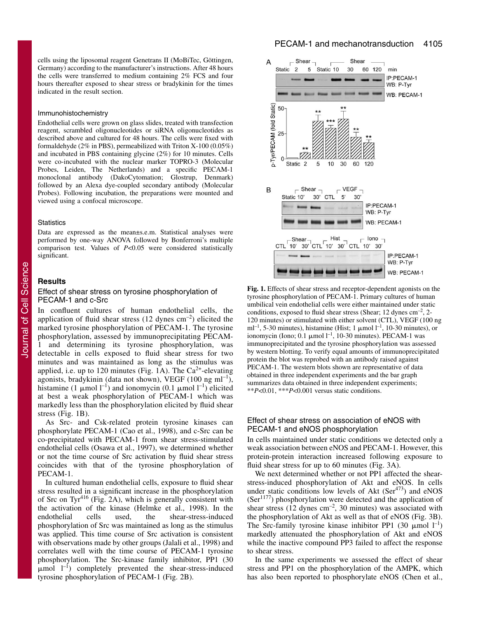cells using the liposomal reagent Genetrans II (MoBiTec, Göttingen, Germany) according to the manufacturer's instructions. After 48 hours the cells were transferred to medium containing 2% FCS and four hours thereafter exposed to shear stress or bradykinin for the times indicated in the result section.

#### Immunohistochemistry

Endothelial cells were grown on glass slides, treated with transfection reagent, scrambled oligonucleotides or siRNA oligonucleotides as described above and cultured for 48 hours. The cells were fixed with formaldehyde (2% in PBS), permeabilized with Triton X-100 (0.05%) and incubated in PBS containing glycine (2%) for 10 minutes. Cells were co-incubated with the nuclear marker TOPRO-3 (Molecular Probes, Leiden, The Netherlands) and a specific PECAM-1 monoclonal antibody (DakoCytomation; Glostrup, Denmark) followed by an Alexa dye-coupled secondary antibody (Molecular Probes). Following incubation, the preparations were mounted and viewed using a confocal microscope.

## **Statistics**

Data are expressed as the mean±s.e.m. Statistical analyses were performed by one-way ANOVA followed by Bonferroni's multiple comparison test. Values of *P*<0.05 were considered statistically significant.

## **Results**

# Effect of shear stress on tyrosine phosphorylation of PECAM-1 and c-Src

In confluent cultures of human endothelial cells, the application of fluid shear stress  $(12 \text{ dynes cm}^{-2})$  elicited the marked tyrosine phosphorylation of PECAM-1. The tyrosine phosphorylation, assessed by immunoprecipitating PECAMand determining its tyrosine phosphorylation, was detectable in cells exposed to fluid shear stress for two minutes and was maintained as long as the stimulus was applied, i.e. up to 120 minutes (Fig. 1A). The  $Ca^{2+}$ -elevating agonists, bradykinin (data not shown), VEGF (100 ng ml<sup>-1</sup>), histamine (1  $\mu$ mol l<sup>-1</sup>) and ionomycin (0.1  $\mu$ mol l<sup>-1</sup>) elicited at best a weak phosphorylation of PECAM-1 which was markedly less than the phosphorylation elicited by fluid shear stress (Fig. 1B). **Example 10**<br> **Example 10**<br> **Example 10**<br> **Example 10**<br> **Example 10**<br> **EXAM-1** and c-Src<br> **EXAM-1** and c-Src<br> **EXAM-1** and c-Src<br> **In** confluent cultures of human endothelial cells, the<br>
umbilicial vein endothelial cells

As Src- and Csk-related protein tyrosine kinases can phosphorylate PECAM-1 (Cao et al., 1998), and c-Src can be co-precipitated with PECAM-1 from shear stress-stimulated endothelial cells (Osawa et al., 1997), we determined whether or not the time course of Src activation by fluid shear stress coincides with that of the tyrosine phosphorylation of PECAM-1.

In cultured human endothelial cells, exposure to fluid shear stress resulted in a significant increase in the phosphorylation of Src on Tyr<sup>416</sup> (Fig. 2A), which is generally consistent with the activation of the kinase (Helmke et al., 1998). In the endothelial cells used, the shear-stress-induced phosphorylation of Src was maintained as long as the stimulus was applied. This time course of Src activation is consistent with observations made by other groups (Jalali et al., 1998) and correlates well with the time course of PECAM-1 tyrosine phosphorylation. The Src-kinase family inhibitor, PP1 (30  $\mu$ mol  $l^{-1}$ ) completely prevented the shear-stress-induced tyrosine phosphorylation of PECAM-1 (Fig. 2B).



**Fig. 1.** Effects of shear stress and receptor-dependent agonists on the tyrosine phosphorylation of PECAM-1. Primary cultures of human umbilical vein endothelial cells were either maintained under static conditions, exposed to fluid shear stress (Shear; 12 dynes  $\text{cm}^{-2}$ , 2-120 minutes) or stimulated with either solvent (CTL), VEGF (100 ng ml<sup>-1</sup>, 5-30 minutes), histamine (Hist; 1  $\mu$ mol l<sup>-1</sup>, 10-30 minutes), or ionomycin (Iono; 0.1  $\mu$ mol l<sup>-1</sup>, 10-30 minutes). PECAM-1 was immunoprecipitated and the tyrosine phosphorylation was assessed by western blotting. To verify equal amounts of immunoprecipitated protein the blot was reprobed with an antibody raised against PECAM-1. The western blots shown are representative of data obtained in three independent experiments and the bar graph summarizes data obtained in three independent experiments;  $*P<0.01$ ,  $**P<0.001$  versus static conditions.

# Effect of shear stress on association of eNOS with PECAM-1 and eNOS phosphorylation

In cells maintained under static conditions we detected only a weak association between eNOS and PECAM-1. However, this protein-protein interaction increased following exposure to fluid shear stress for up to 60 minutes (Fig. 3A).

We next determined whether or not PP1 affected the shearstress-induced phosphorylation of Akt and eNOS. In cells under static conditions low levels of Akt  $(Ser<sup>473</sup>)$  and eNOS  $(Ser<sup>1177</sup>)$  phosphorylation were detected and the application of shear stress  $(12 \text{ dynes cm}^{-2}, 30 \text{ minutes})$  was associated with the phosphorylation of Akt as well as that of eNOS (Fig. 3B). The Src-family tyrosine kinase inhibitor PP1 (30  $\mu$ mol l<sup>-1</sup>) markedly attenuated the phosphorylation of Akt and eNOS while the inactive compound PP3 failed to affect the response to shear stress.

In the same experiments we assessed the effect of shear stress and PP1 on the phosphorylation of the AMPK, which has also been reported to phosphorylate eNOS (Chen et al.,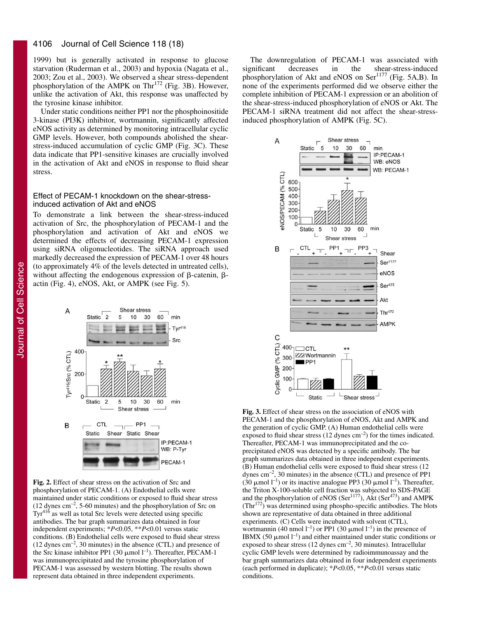#### 4106 Journal of Cell Science 118 (18)

1999) but is generally activated in response to glucose starvation (Ruderman et al., 2003) and hypoxia (Nagata et al., 2003; Zou et al., 2003). We observed a shear stress-dependent phosphorylation of the AMPK on Thr<sup>172</sup> (Fig. 3B). However, unlike the activation of Akt, this response was unaffected by the tyrosine kinase inhibitor.

Under static conditions neither PP1 nor the phosphoinositide 3-kinase (PI3K) inhibitor, wortmannin, significantly affected eNOS activity as determined by monitoring intracellular cyclic GMP levels. However, both compounds abolished the shearstress-induced accumulation of cyclic GMP (Fig. 3C). These data indicate that PP1-sensitive kinases are crucially involved in the activation of Akt and eNOS in response to fluid shear stress.

## Effect of PECAM-1 knockdown on the shear-stressinduced activation of Akt and eNOS

To demonstrate a link between the shear-stress-induced activation of Src, the phosphorylation of PECAM-1 and the phosphorylation and activation of Akt and eNOS we determined the effects of decreasing PECAM-1 expression using siRNA oligonucleotides. The siRNA approach used markedly decreased the expression of PECAM-1 over 48 hours (to approximately 4% of the levels detected in untreated cells), without affecting the endogenous expression of  $\beta$ -catenin,  $\beta$ actin (Fig. 4), eNOS, Akt, or AMPK (see Fig. 5).



**Fig. 2.** Effect of shear stress on the activation of Src and phosphorylation of PECAM-1. (A) Endothelial cells were maintained under static conditions or exposed to fluid shear stress  $(12 \text{ dynes cm}^{-2}, 5\text{-}60 \text{ minutes})$  and the phosphorylation of Src on Tyr<sup>416</sup> as well as total Src levels were detected using specific antibodies. The bar graph summarizes data obtained in four independent experiments; \**P*<0.05, \*\**P*<0.01 versus static conditions. (B) Endothelial cells were exposed to fluid shear stress  $(12 \text{ dynes cm}^{-2}, 30 \text{ minutes})$  in the absence  $(CTL)$  and presence of the Src kinase inhibitor PP1 (30  $\mu$ mol l<sup>-1</sup>). Thereafter, PECAM-1 was immunoprecipitated and the tyrosine phosphorylation of PECAM-1 was assessed by western blotting. The results shown represent data obtained in three independent experiments.

The downregulation of PECAM-1 was associated with<br>
existing the shear-stress-induced<br>  $\frac{1}{2}$ significant decreases in the shear-stress-induced phosphorylation of Akt and eNOS on Ser<sup>1177</sup> (Fig. 5A,B). In none of the experiments performed did we observe either the complete inhibition of PECAM-1 expression or an abolition of the shear-stress-induced phosphorylation of eNOS or Akt. The PECAM-1 siRNA treatment did not affect the shear-stressinduced phosphorylation of AMPK (Fig. 5C).



**Fig. 3.** Effect of shear stress on the association of eNOS with PECAM-1 and the phosphorylation of eNOS, Akt and AMPK and the generation of cyclic GMP. (A) Human endothelial cells were exposed to fluid shear stress  $(12 \text{ dynes cm}^{-2})$  for the times indicated. Thereafter, PECAM-1 was immunoprecipitated and the coprecipitated eNOS was detected by a specific antibody. The bar graph summarizes data obtained in three independent experiments. (B) Human endothelial cells were exposed to fluid shear stress (12 dynes  $\text{cm}^{-2}$ , 30 minutes) in the absence (CTL) and presence of PP1 (30  $\mu$ mol l<sup>-1</sup>) or its inactive analogue PP3 (30  $\mu$ mol l<sup>-1</sup>). Thereafter, the Triton X-100-soluble cell fraction was subjected to SDS-PAGE and the phosphorylation of eNOS ( $\text{Ser}^{1177}$ ), Akt ( $\text{Ser}^{473}$ ) and AMPK  $(Thr<sup>172</sup>)$  was determined using phospho-specific antibodies. The blots shown are representative of data obtained in three additional experiments. (C) Cells were incubated with solvent (CTL), wortmannin (40 nmol  $l^{-1}$ ) or PP1 (30  $\mu$ mol  $l^{-1}$ ) in the presence of IBMX (50  $\mu$ mol l<sup>-1</sup>) and either maintained under static conditions or exposed to shear stress (12 dynes cm–2, 30 minutes). Intracellular cyclic GMP levels were determined by radioimmunoassay and the bar graph summarizes data obtained in four independent experiments (each performed in duplicate); \**P*<0.05, \*\**P*<0.01 versus static conditions.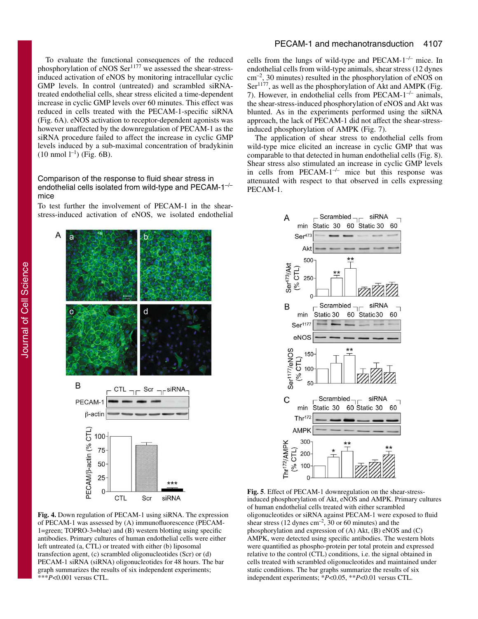To evaluate the functional consequences of the reduced phosphorylation of eNOS Ser<sup>1177</sup> we assessed the shear-stressinduced activation of eNOS by monitoring intracellular cyclic GMP levels. In control (untreated) and scrambled siRNAtreated endothelial cells, shear stress elicited a time-dependent increase in cyclic GMP levels over 60 minutes. This effect was reduced in cells treated with the PECAM-1-specific siRNA (Fig. 6A). eNOS activation to receptor-dependent agonists was however unaffected by the downregulation of PECAM-1 as the siRNA procedure failed to affect the increase in cyclic GMP levels induced by a sub-maximal concentration of bradykinin  $(10 \text{ nmol } 1^{-1})$  (Fig. 6B).

# Comparison of the response to fluid shear stress in endothelial cells isolated from wild-type and PECAM- $1^{-/-}$ mice

To test further the involvement of PECAM-1 in the shearstress-induced activation of eNOS, we isolated endothelial



 $\text{cm}^{-2}$ , 30 minutes) resulted in the phosphorylation of eNOS on Ser<sup>1177</sup>, as well as the phosphorylation of Akt and AMPK (Fig. 7). However, in endothelial cells from PECAM- $1^{-/-}$  animals, the shear-stress-induced phosphorylation of eNOS and Akt was blunted. As in the experiments performed using the siRNA approach, the lack of PECAM-1 did not affect the shear-stressinduced phosphorylation of AMPK (Fig. 7).

PECAM-1 and mechanotransduction 4107

The application of shear stress to endothelial cells from wild-type mice elicited an increase in cyclic GMP that was comparable to that detected in human endothelial cells (Fig. 8). Shear stress also stimulated an increase in cyclic GMP levels in cells from PECAM- $1^{-/-}$  mice but this response was attenuated with respect to that observed in cells expressing PECAM-1.



**Fig. 4.** Down regulation of PECAM-1 using siRNA. The expression of PECAM-1 was assessed by (A) immunofluorescence (PECAM-1=green; TOPRO-3=blue) and (B) western blotting using specific antibodies. Primary cultures of human endothelial cells were either left untreated (a, CTL) or treated with either (b) liposomal transfection agent, (c) scrambled oligonucleotides (Scr) or (d) PECAM-1 siRNA (siRNA) oligonucleotides for 48 hours. The bar graph summarizes the results of six independent experiments; \*\*\**P*<0.001 versus CTL.

**Fig. 5**. Effect of PECAM-1 downregulation on the shear-stressinduced phosphorylation of Akt, eNOS and AMPK. Primary cultures of human endothelial cells treated with either scrambled oligonucleotides or siRNA against PECAM-1 were exposed to fluid shear stress (12 dynes  $cm^{-2}$ , 30 or 60 minutes) and the phosphorylation and expression of (A) Akt, (B) eNOS and (C) AMPK, were detected using specific antibodies. The western blots were quantified as phospho-protein per total protein and expressed relative to the control (CTL) conditions, i.e. the signal obtained in cells treated with scrambled oligonucleotides and maintained under static conditions. The bar graphs summarize the results of six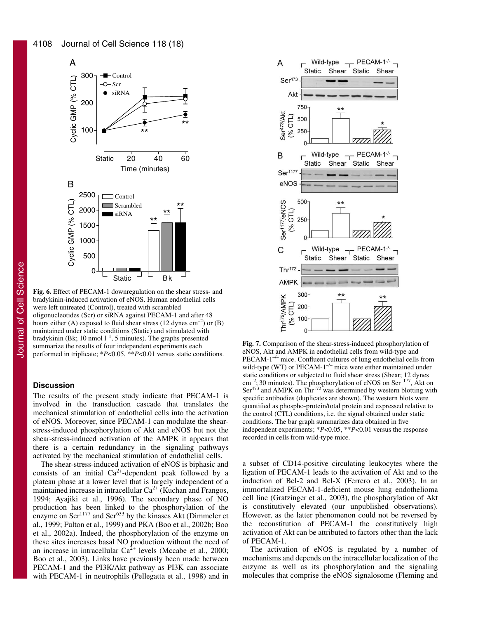

**Fig. 6.** Effect of PECAM-1 downregulation on the shear stress- and bradykinin-induced activation of eNOS. Human endothelial cells were left untreated (Control), treated with scrambled oligonucleotides (Scr) or siRNA against PECAM-1 and after 48 hours either (A) exposed to fluid shear stress (12 dynes  $\text{cm}^{-2}$ ) or (B) maintained under static conditions (Static) and stimulated with bradykinin (Bk; 10 nmol  $l^{-1}$ , 5 minutes). The graphs presented summarize the results of four independent experiments each performed in triplicate; \**P*<0.05, \*\**P*<0.01 versus static conditions.

# **Discussion**

The results of the present study indicate that PECAM-1 is involved in the transduction cascade that translates the mechanical stimulation of endothelial cells into the activation of eNOS. Moreover, since PECAM-1 can modulate the shearstress-induced phosphorylation of Akt and eNOS but not the shear-stress-induced activation of the AMPK it appears that there is a certain redundancy in the signaling pathways activated by the mechanical stimulation of endothelial cells.

The shear-stress-induced activation of eNOS is biphasic and consists of an initial  $Ca^{2+}$ -dependent peak followed by a plateau phase at a lower level that is largely independent of a maintained increase in intracellular  $Ca^{2+}$  (Kuchan and Frangos, 1994; Ayajiki et al., 1996). The secondary phase of NO production has been linked to the phosphorylation of the enzyme on Ser<sup>1177</sup> and Ser<sup>633</sup> by the kinases Akt (Dimmeler et al., 1999; Fulton et al., 1999) and PKA (Boo et al., 2002b; Boo et al., 2002a). Indeed, the phosphorylation of the enzyme on these sites increases basal NO production without the need of an increase in intracellular  $Ca<sup>2+</sup>$  levels (Mccabe et al., 2000; Boo et al., 2003). Links have previously been made between PECAM-1 and the PI3K/Akt pathway as PI3K can associate with PECAM-1 in neutrophils (Pellegatta et al., 1998) and in



**Fig. 7.** Comparison of the shear-stress-induced phosphorylation of eNOS, Akt and AMPK in endothelial cells from wild-type and  $PECAM-1^{-/-}$  mice. Confluent cultures of lung endothelial cells from wild-type (WT) or PECAM- $1^{-/-}$  mice were either maintained under static conditions or subjected to fluid shear stress (Shear; 12 dynes  $cm<sup>-2</sup>$ ; 30 minutes). The phosphorylation of eNOS on Ser<sup>1177</sup>, Akt on  $\text{Ser}^{473}$  and AMPK on Thr<sup>172</sup> was determined by western blotting with specific antibodies (duplicates are shown). The western blots were quantified as phospho-protein/total protein and expressed relative to the control (CTL) conditions, i.e. the signal obtained under static conditions. The bar graph summarizes data obtained in five independent experiments; \**P*<0.05, \*\**P*<0.01 versus the response recorded in cells from wild-type mice.

a subset of CD14-positive circulating leukocytes where the ligation of PECAM-1 leads to the activation of Akt and to the induction of Bcl-2 and Bcl-X (Ferrero et al., 2003). In an immortalized PECAM-1-deficient mouse lung endothelioma cell line (Gratzinger et al., 2003), the phosphorylation of Akt is constitutively elevated (our unpublished observations). However, as the latter phenomenon could not be reversed by the reconstitution of PECAM-1 the constitutively high activation of Akt can be attributed to factors other than the lack of PECAM-1.

The activation of eNOS is regulated by a number of mechanisms and depends on the intracellular localization of the enzyme as well as its phosphorylation and the signaling molecules that comprise the eNOS signalosome (Fleming and

Journal of Cell Science JournalofCellScience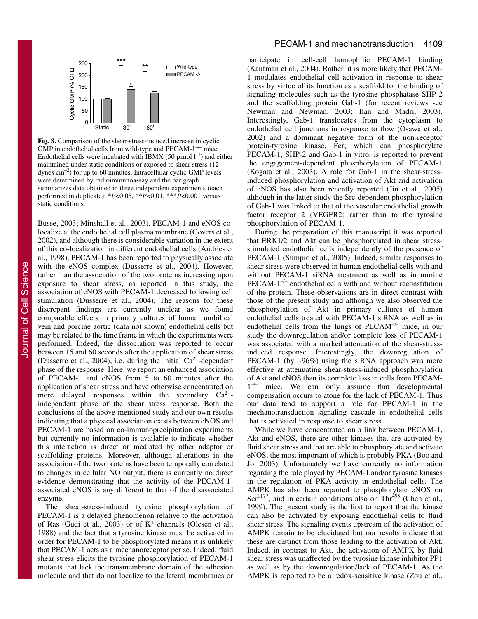

**Fig. 8.** Comparison of the shear-stress-induced increase in cyclic GMP in endothelial cells from wild-type and  $PECAM-1^{-/-}$  mice. Endothelial cells were incubated with IBMX (50  $\mu$ mol l<sup>-1</sup>) and either maintained under static conditions or exposed to shear stress (12 dynes  $cm^{-2}$ ) for up to 60 minutes. Intracellular cyclic GMP levels were determined by radioimmunoassay and the bar graph summarizes data obtained in three independent experiments (each performed in duplicate); \**P*<0.05, \*\**P*<0.01, \*\*\**P*<0.001 versus static conditions.

Busse, 2003; Minshall et al., 2003). PECAM-1 and eNOS colocalize at the endothelial cell plasma membrane (Govers et al., 2002), and although there is considerable variation in the extent of this co-localization in different endothelial cells (Andries et al., 1998), PECAM-1 has been reported to physically associate with the eNOS complex (Dusserre et al., 2004). However, rather than the association of the two proteins increasing upon exposure to shear stress, as reported in this study, the association of eNOS with PECAM-1 decreased following cell stimulation (Dusserre et al., 2004). The reasons for these discrepant findings are currently unclear as we found comparable effects in primary cultures of human umbilical vein and porcine aortic (data not shown) endothelial cells but may be related to the time frame in which the experiments were performed. Indeed, the dissociation was reported to occur between 15 and 60 seconds after the application of shear stress (Dusserre et al., 2004), i.e. during the initial  $Ca^{2+}$ -dependent phase of the response. Here, we report an enhanced association of PECAM-1 and eNOS from 5 to 60 minutes after the application of shear stress and have otherwise concentrated on more delayed responses within the secondary  $Ca^{2+}$ independent phase of the shear stress response. Both the conclusions of the above-mentioned study and our own results indicating that a physical association exists between eNOS and PECAM-1 are based on co-immunoprecipitation experiments but currently no information is available to indicate whether this interaction is direct or mediated by other adaptor or scaffolding proteins. Moreover, although alterations in the association of the two proteins have been temporally correlated to changes in cellular NO output, there is currently no direct evidence demonstrating that the activity of the PECAM-1 associated eNOS is any different to that of the disassociated enzyme.

The shear-stress-induced tyrosine phosphorylation of PECAM-1 is a delayed phenomenon relative to the activation of Ras (Gudi et al., 2003) or of  $K^+$  channels (Olesen et al., 1988) and the fact that a tyrosine kinase must be activated in order for PECAM-1 to be phosphorylated means it is unlikely that PECAM-1 acts as a mechanoreceptor per se. Indeed, fluid shear stress elicits the tyrosine phosphorylation of PECAM-1 mutants that lack the transmembrane domain of the adhesion molecule and that do not localize to the lateral membranes or

participate in cell-cell homophilic PECAM-1 binding (Kaufman et al., 2004). Rather, it is more likely that PECAM-1 modulates endothelial cell activation in response to shear stress by virtue of its function as a scaffold for the binding of signaling molecules such as the tyrosine phosphatase SHP-2 and the scaffolding protein Gab-1 (for recent reviews see Newman and Newman, 2003; Ilan and Madri, 2003). Interestingly, Gab-1 translocates from the cytoplasm to endothelial cell junctions in response to flow (Osawa et al., 2002) and a dominant negative form of the non-receptor protein-tyrosine kinase, Fer; which can phosphorylate PECAM-1, SHP-2 and Gab-1 in vitro, is reported to prevent the engagement-dependent phosphorylation of PECAM-1 (Kogata et al., 2003). A role for Gab-1 in the shear-stressinduced phosphorylation and activation of Akt and activation of eNOS has also been recently reported (Jin et al., 2005) although in the latter study the Src-dependent phosphorylation of Gab-1 was linked to that of the vascular endothelial growth factor receptor 2 (VEGFR2) rather than to the tyrosine phosphorylation of PECAM-1.

During the preparation of this manuscript it was reported that ERK1/2 and Akt can be phosphorylated in shear stressstimulated endothelial cells independently of the presence of PECAM-1 (Sumpio et al., 2005). Indeed, similar responses to shear stress were observed in human endothelial cells with and without PECAM-1 siRNA treatment as well as in murine  $PECAM-1^{-/-}$  endothelial cells with and without reconstitution of the protein. These observations are in direct contrast with those of the present study and although we also observed the phosphorylation of Akt in primary cultures of human endothelial cells treated with PECAM-1 siRNA as well as in endothelial cells from the lungs of PECAM<sup>-/-</sup> mice, in our study the downregulation and/or complete loss of PECAM-1 was associated with a marked attenuation of the shear-stressinduced response. Interestingly, the downregulation of PECAM-1 (by  $\sim 96\%$ ) using the siRNA approach was more effective at attenuating shear-stress-induced phosphorylation of Akt and eNOS than its complete loss in cells from PECAM-1<sup>-/-</sup> mice. We can only assume that developmental compensation occurs to atone for the lack of PECAM-1. Thus our data tend to support a role for PECAM-1 in the mechanotransduction signaling cascade in endothelial cells that is activated in response to shear stress.

While we have concentrated on a link between PECAM-1, Akt and eNOS, there are other kinases that are activated by fluid shear stress and that are able to phosphorylate and activate eNOS, the most important of which is probably PKA (Boo and Jo, 2003). Unfortunately we have currently no information regarding the role played by PECAM-1 and/or tyrosine kinases in the regulation of PKA activity in endothelial cells. The AMPK has also been reported to phosphorylate eNOS on  $\text{Ser}^{1177}$ , and in certain conditions also on Thr<sup>495</sup> (Chen et al., 1999). The present study is the first to report that the kinase can also be activated by exposing endothelial cells to fluid shear stress. The signaling events upstream of the activation of AMPK remain to be elucidated but our results indicate that these are distinct from those leading to the activation of Akt. Indeed, in contrast to Akt, the activation of AMPK by fluid shear stress was unaffected by the tyrosine kinase inhibitor PP1 as well as by the downregulation/lack of PECAM-1. As the AMPK is reported to be a redox-sensitive kinase (Zou et al.,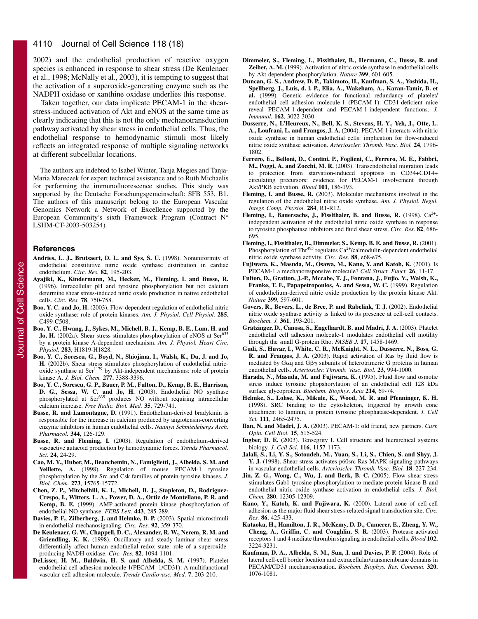#### 4110 Journal of Cell Science 118 (18)

2002) and the endothelial production of reactive oxygen species is enhanced in response to shear stress (De Keulenaer et al., 1998; McNally et al., 2003), it is tempting to suggest that the activation of a superoxide-generating enzyme such as the NADPH oxidase or xanthine oxidase underlies this response.

Taken together, our data implicate PECAM-1 in the shearstress-induced activation of Akt and eNOS at the same time as clearly indicating that this is not the only mechanotransduction pathway activated by shear stress in endothelial cells. Thus, the endothelial response to hemodynamic stimuli most likely reflects an integrated response of multiple signaling networks at different subcellular locations.

The authors are indebted to Isabel Winter, Tanja Megies and Tanja-Maria Mareczek for expert technical assistance and to Ruth Michaelis for performing the immunofluorescence studies. This study was supported by the Deutsche Forschungsgemeinschaft: SFB 553, B1. The authors of this manuscript belong to the European Vascular Genomics Network a Network of Excellence supported by the European Community's sixth Framework Program (Contract N° LSHM-CT-2003-503254).

#### **References**

- **Andries, L. J., Brutsaert, D. L. and Sys, S. U.** (1998). Nonuniformity of endothelial constitutive nitric oxide synthase distribution in cardiac endothelium. *Circ. Res.* **82**, 195-203.
- **Ayajiki, K., Kindermann, M., Hecker, M., Fleming, I. and Busse, R.** (1996). Intracellular pH and tyrosine phosphorylation but not calcium determine shear stress-induced nitric oxide production in native endothelial cells. *Circ. Res.* **78**, 750-758.
- **Boo, Y. C. and Jo, H.** (2003). Flow-dependent regulation of endothelial nitric oxide synthase: role of protein kinases. *Am. J. Physiol. Cell Physiol.* **285**, C499-C508.
- **Boo, Y. C., Hwang, J., Sykes, M., Michell, B. J., Kemp, B. E., Lum, H. and** Jo, H. (2002a). Shear stress stimulates phosphorylation of eNOS at Ser<sup>635</sup> by a protein kinase A-dependent mechanism. *Am. J. Physiol. Heart Circ. Physiol.* **283**, H1819-H1828.
- **Boo, Y. C., Sorescu, G., Boyd, N., Shiojima, I., Walsh, K., Du, J. and Jo, H.** (2002b). Shear stress stimulates phosphorylation of endothelial nitric- $\alpha$  oxide synthase at Ser<sup>1179</sup> by Akt-independent mechanisms: role of protein kinase A. *J. Biol. Chem.* **277**, 3388-3396.
- **Boo, Y. C., Sorescu, G. P., Bauer, P. M., Fulton, D., Kemp, B. E., Harrison, D. G., Sessa, W. C. and Jo, H.** (2003). Endothelial NO synthase phosphorylated at Ser<sup>635</sup> produces NO without requiring intracellular calcium increase. *Free Radic. Biol. Med.* **35**, 729-741.
- **Busse, R. and Lamontagne, D.** (1991). Endothelium-derived bradykinin is responsible for the increase in calcium produced by angiotensin-converting enzyme inhibitors in human endothelial cells. *Naunyn Schmiedebergs Arch. Pharmacol.* **344**, 126-129.
- **Busse, R. and Fleming, I.** (2003). Regulation of endothelium-derived vasoactive autacoid production by hemodynamic forces. *Trends Pharmacol. Sci.* **24**, 24-29.
- **Cao, M. Y., Huber, M., Beauchemin, N., Famiglietti, J., Albelda, S. M. and Veillette, A.** (1998). Regulation of mouse PECAM-1 tyrosine phosphorylation by the Src and Csk families of protein-tyrosine kinases. *J. Biol. Chem.* **273**, 15765-15772.
- **Chen, Z. P., Mitchelhill, K. I., Michell, B. J., Stapleton, D., Rodriguez-Crespo, I., Witters, L. A., Power, D. A., Ortiz de Montellano, P. R. and Kemp, B. E.** (1999). AMP-activated protein kinase phosphorylation of endothelial NO synthase. *FEBS Lett.* **443**, 285-289.
- **Davies, P. F., Zilberberg, J. and Helmke, B. P.** (2003). Spatial microstimuli in endothelial mechanosignaling. *Circ. Res.* **92**, 359-370.
- **De Keulenaer, G. W., Chappell, D. C., Alexander, R. W., Nerem, R. M. and Griendling, K. K.** (1998). Oscillatory and steady laminar shear stress differentially affect human endothelial redox state: role of a superoxideproducing NADH oxidase. *Circ. Res.* **82**, 1094-1101.
- **DeLisser, H. M., Baldwin, H. S. and Albelda, S. M.** (1997). Platelet endothelial cell adhesion molecule 1(PECAM- 1/CD31): A multifunctional vascular cell adhesion molecule. *Trends Cardiovasc. Med.* **7**, 203-210.
- **Dimmeler, S., Fleming, I., Fisslthaler, B., Hermann, C., Busse, R. and Zeiher, A. M.** (1999). Activation of nitric oxide synthase in endothelial cells by Akt-dependent phosphorylation. *Nature* **399**, 601-605.
- **Duncan, G. S., Andrew, D. P., Takimoto, H., Kaufman, S. A., Yoshida, H., Spellberg, J., Luis, d. l. P., Elia, A., Wakeham, A., Karan-Tamir, B. et al.** (1999). Genetic evidence for functional redundancy of platelet/ endothelial cell adhesion molecule-1 (PECAM-1): CD31-deficient mice reveal PECAM-1-dependent and PECAM-1-independent functions. *J. Immunol.* **162**, 3022-3030.
- **Dusserre, N., L'Heureux, N., Bell, K. S., Stevens, H. Y., Yeh, J., Otte, L. A., Loufrani, L. and Frangos, J. A.** (2004). PECAM-1 interacts with nitric oxide synthase in human endothelial cells: implication for flow-induced nitric oxide synthase activation. *Arterioscler. Thromb. Vasc. Biol.* **24**, 1796- 1802.
- **Ferrero, E., Belloni, D., Contini, P., Foglieni, C., Ferrero, M. E., Fabbri, M., Poggi, A. and Zocchi, M. R.** (2003). Transendothelial migration leads to protection from starvation-induced apoptosis in CD34+CD14+ circulating precursors: evidence for PECAM-1 involvement through Akt/PKB activation. *Blood* **101**, 186-193.
- **Fleming, I. and Busse, R.** (2003). Molecular mechanisms involved in the regulation of the endothelial nitric oxide synthase. *Am. J. Physiol. Regul. Integr. Comp. Physiol.* **284**, R1-R12.
- Fleming, I., Bauersachs, J., Fisslthaler, B. and Busse, R. (1998). Ca<sup>2+</sup>independent activation of the endothelial nitric oxide synthase in response to tyrosine phosphatase inhibitors and fluid shear stress. *Circ. Res.* **82**, 686- 695.
- **Fleming, I., Fisslthaler, B., Dimmeler, S., Kemp, B. E. and Busse, R.** (2001). Phosphorylation of Thr<sup>495</sup> regulates  $Ca<sup>2+</sup>/calmodulin-dependent endothelial$ nitric oxide synthase activity. *Circ. Res.* **88**, e68-e75.
- **Fujiwara, K., Masuda, M., Osawa, M., Kano, Y. and Katoh, K.** (2001). Is PECAM-1 a mechanoresponsive molecule? *Cell Struct. Funct.* **26**, 11-17.
- **Fulton, D., Gratton, J.-P., Mccabe, T. J., Fontana, J., Fujio, Y., Walsh, K., Franke, T. F., Papapetropoulos, A. and Sessa, W. C.** (1999). Regulation of endothelium-derived nitric oxide production by the protein kinase Akt. *Nature* **399**, 597-601.
- **Govers, R., Bevers, L., de Bree, P. and Rabelink, T. J.** (2002). Endothelial nitric oxide synthase activity is linked to its presence at cell-cell contacts. *Biochem. J.* **361**, 193-201.
- **Gratzinger, D., Canosa, S., Engelhardt, B. and Madri, J. A.** (2003). Platelet endothelial cell adhesion molecule-1 modulates endothelial cell motility through the small G-protein Rho. *FASEB J.* **17**, 1458-1469.
- **Gudi, S., Huvar, I., White, C. R., McKnight, N. L., Dusserre, N., Boss, G. R. and Frangos, J. A.** (2003). Rapid activation of Ras by fluid flow is mediated by G $\alpha$ q and G $\beta\gamma$  subunits of heterotrimeric G proteins in human endothelial cells. *Arterioscler. Thromb. Vasc. Biol.* **23**, 994-1000.
- **Harada, N., Masuda, M. and Fujiwara, K.** (1995). Fluid flow and osmotic stress induce tyrosine phopshorylation of an endothelial cell 128 kDa surface glycoprotein. *Biochem. Biophys. Acta* **214**, 69-74.
- **Helmke, S., Lohse, K., Mikule, K., Wood, M. R. and Pfenninger, K. H.** (1998). SRC binding to the cytoskeleton, triggered by growth cone attachment to laminin, is protein tyrosine phosphatase-dependent. *J. Cell Sci.* **111**, 2465-2475.
- **Ilan, N. and Madri, J. A.** (2003). PECAM-1: old friend, new partners. *Curr. Opin. Cell Biol.* **15**, 515-524.
- **Ingber, D. E.** (2003). Tensegrity I. Cell structure and hierarchical systems biology. *J. Cell Sci.* **116**, 1157-1173.
- **Jalali, S., Li, Y. S., Sotoudeh, M., Yuan, S., Li, S., Chien, S. and Shyy, J. Y. J.** (1998). Shear stress activates p60src-Ras-MAPK signaling pathways in vascular endothelial cells. *Arterioscler. Thromb. Vasc. Biol.* **18**, 227-234.
- **Jin, Z. G., Wong, C., Wu, J. and Berk, B. C.** (2005). Flow shear stress stimulates Gab1 tyrosine phosphorylation to mediate protein kinase B and endothelial nitric oxide synthase activation in endothelial cells. *J. Biol. Chem.* **280**, 12305-12309.
- **Kano, Y., Katoh, K. and Fujiwara, K.** (2000). Lateral zone of cell-cell adhesion as the major fluid shear stress-related signal transduction site. *Circ. Res.* **86**, 425-433.
- **Kataoka, H., Hamilton, J. R., McKemy, D. D., Camerer, E., Zheng, Y. W., Cheng, A., Griffin, C. and Coughlin, S. R.** (2003). Protease-activated receptors 1 and 4 mediate thrombin signaling in endothelial cells. *Blood* **102**, 3224-3231.
- **Kaufman, D. A., Albelda, S. M., Sun, J. and Davies, P. F.** (2004). Role of lateral cell-cell border location and extracellular/transmembrane domains in PECAM/CD31 mechanosensation. *Biochem. Biophys. Res. Commun.* **320**, 1076-1081.